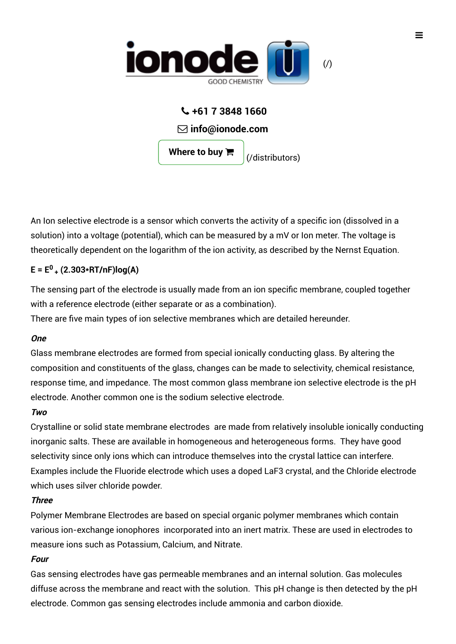

### **+61 7 3848 1660**

**info@ionode.com**

**Where to buy**

[\(/distributors\)](https://ionode.com/distributors)

An Ion selective electrode is a sensor which converts the activity of a specific ion (dissolved in a solution) into a voltage (potential), which can be measured by a mV or Ion meter. The voltage is theoretically dependent on the logarithm of the ion activity, as described by the Nernst Equation.

### **E = E (2.303\*RT/nF)log(A) 0 +**

The sensing part of the electrode is usually made from an ion specific membrane, coupled together with a reference electrode (either separate or as a combination).

There are five main types of ion selective membranes which are detailed hereunder.

#### **One**

Glass membrane electrodes are formed from special ionically conducting glass. By altering the composition and constituents of the glass, changes can be made to selectivity, chemical resistance, response time, and impedance. The most common glass membrane ion selective electrode is the pH electrode. Another common one is the sodium selective electrode.

#### **Two**

Crystalline or solid state membrane electrodes are made from relatively insoluble ionically conducting inorganic salts. These are available in homogeneous and heterogeneous forms. They have good selectivity since only ions which can introduce themselves into the crystal lattice can interfere. Examples include the Fluoride electrode which uses a doped LaF3 crystal, and the Chloride electrode which uses silver chloride powder.

#### **Three**

Polymer Membrane Electrodes are based on special organic polymer membranes which contain various ion-exchange ionophores incorporated into an inert matrix. These are used in electrodes to measure ions such as Potassium, Calcium, and Nitrate.

#### **Four**

Gas sensing electrodes have gas permeable membranes and an internal solution. Gas molecules diffuse across the membrane and react with the solution. This pH change is then detected by the pH electrode. Common gas sensing electrodes include ammonia and carbon dioxide.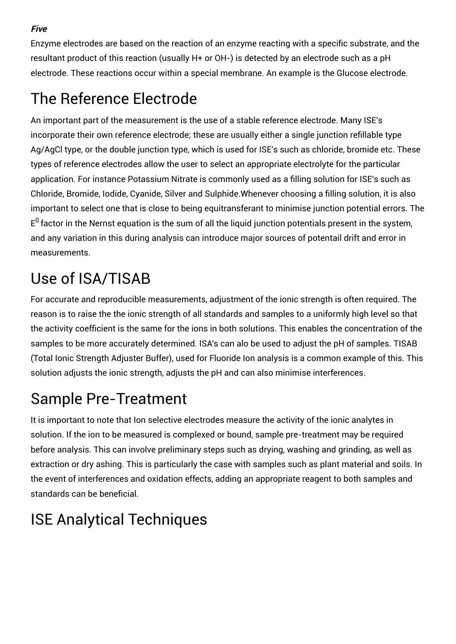**Five**

Enzyme electrodes are based on the reaction of an enzyme reacting with a specific substrate, and the resultant product of this reaction (usually H+ or OH-) is detected by an electrode such as a pH electrode. These reactions occur within a special membrane. An example is the Glucose electrode.

## The Reference Electrode

An important part of the measurement is the use of a stable reference electrode. Many ISE's incorporate their own reference electrode; these are usually either a single junction refillable type Ag/AgCl type, or the double junction type, which is used for ISE's such as chloride, bromide etc. These types of reference electrodes allow the user to select an appropriate electrolyte for the particular application. For instance Potassium Nitrate is commonly used as a filling solution for ISE's such as Chloride, Bromide, Iodide, Cyanide, Silver and Sulphide.Whenever choosing a filling solution, it is also important to select one that is close to being equitransferant to minimise junction potential errors. The  $\mathsf{E}^0$  factor in the Nernst equation is the sum of all the liquid junction potentials present in the system, and any variation in this during analysis can introduce major sources of potentail drift and error in measurements.

# Use of ISA/TISAB

For accurate and reproducible measurements, adjustment of the ionic strength is often required. The reason is to raise the the ionic strength of all standards and samples to a uniformly high level so that the activity coefficient is the same for the ions in both solutions. This enables the concentration of the samples to be more accurately determined. ISA's can alo be used to adjust the pH of samples. TISAB (Total Ionic Strength Adjuster Buffer), used for Fluoride Ion analysis is a common example of this. This solution adjusts the ionic strength, adjusts the pH and can also minimise interferences.

## Sample Pre-Treatment

It is important to note that Ion selective electrodes measure the activity of the ionic analytes in solution. If the ion to be measured is complexed or bound, sample pre-treatment may be required before analysis. This can involve preliminary steps such as drying, washing and grinding, as well as extraction or dry ashing. This is particularly the case with samples such as plant material and soils. In the event of interferences and oxidation effects, adding an appropriate reagent to both samples and standards can be beneficial.

## ISE Analytical Techniques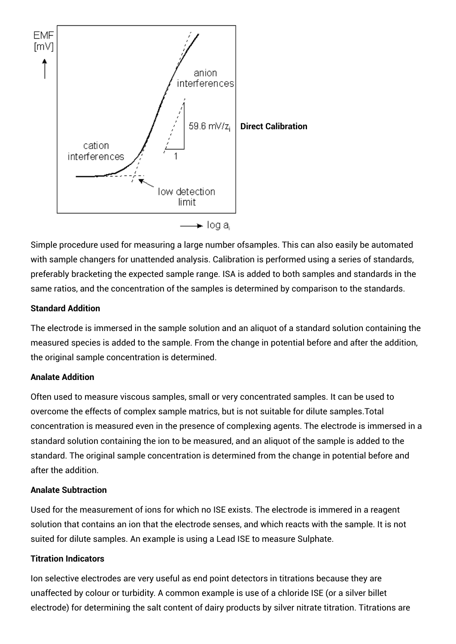

Simple procedure used for measuring a large number ofsamples. This can also easily be automated with sample changers for unattended analysis. Calibration is performed using a series of standards, preferably bracketing the expected sample range. ISA is added to both samples and standards in the same ratios, and the concentration of the samples is determined by comparison to the standards.

#### **Standard Addition**

The electrode is immersed in the sample solution and an aliquot of a standard solution containing the measured species is added to the sample. From the change in potential before and after the addition, the original sample concentration is determined.

#### **Analate Addition**

Often used to measure viscous samples, small or very concentrated samples. It can be used to overcome the effects of complex sample matrics, but is not suitable for dilute samples.Total concentration is measured even in the presence of complexing agents. The electrode is immersed in a standard solution containing the ion to be measured, and an aliquot of the sample is added to the standard. The original sample concentration is determined from the change in potential before and after the addition.

#### **Analate Subtraction**

Used for the measurement of ions for which no ISE exists. The electrode is immered in a reagent solution that contains an ion that the electrode senses, and which reacts with the sample. It is not suited for dilute samples. An example is using a Lead ISE to measure Sulphate.

#### **Titration Indicators**

Ion selective electrodes are very useful as end point detectors in titrations because they are unaffected by colour or turbidity. A common example is use of a chloride ISE (or a silver billet electrode) for determining the salt content of dairy products by silver nitrate titration. Titrations are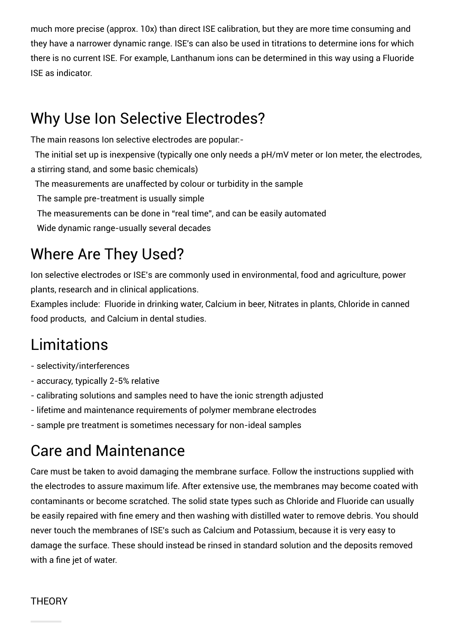much more precise (approx. 10x) than direct ISE calibration, but they are more time consuming and they have a narrower dynamic range. ISE's can also be used in titrations to determine ions for which there is no current ISE. For example, Lanthanum ions can be determined in this way using a Fluoride ISE as indicator.

### Why Use Ion Selective Electrodes?

The main reasons Ion selective electrodes are popular:-

The initial set up is inexpensive (typically one only needs a pH/mV meter or Ion meter, the electrodes, a stirring stand, and some basic chemicals)

The measurements are unaffected by colour or turbidity in the sample

The sample pre-treatment is usually simple

The measurements can be done in "real time", and can be easily automated

Wide dynamic range-usually several decades

## Where Are They Used?

Ion selective electrodes or ISE's are commonly used in environmental, food and agriculture, power plants, research and in clinical applications.

Examples include: Fluoride in drinking water, Calcium in beer, Nitrates in plants, Chloride in canned food products, and Calcium in dental studies.

## Limitations

- selectivity/interferences
- accuracy, typically 2-5% relative
- calibrating solutions and samples need to have the ionic strength adjusted
- lifetime and maintenance requirements of polymer membrane electrodes

- sample pre treatment is sometimes necessary for non-ideal samples

### Care and Maintenance

Care must be taken to avoid damaging the membrane surface. Follow the instructions supplied with the electrodes to assure maximum life. After extensive use, the membranes may become coated with contaminants or become scratched. The solid state types such as Chloride and Fluoride can usually be easily repaired with fine emery and then washing with distilled water to remove debris. You should never touch the membranes of ISE's such as Calcium and Potassium, because it is very easy to damage the surface. These should instead be rinsed in standard solution and the deposits removed with a fine jet of water.

### **THEORY**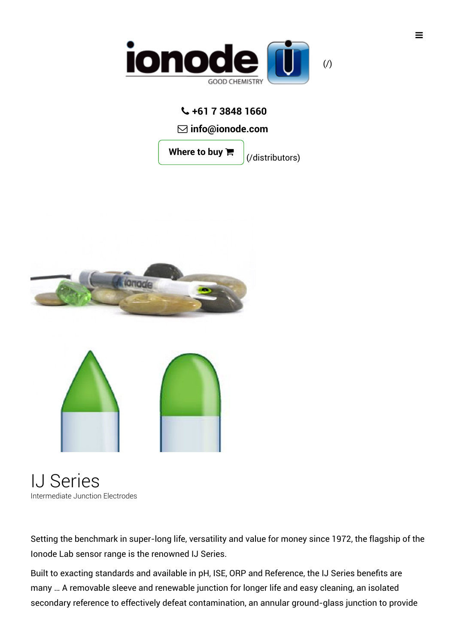

### **+61 7 3848 1660**

**info@ionode.com**

**Where to buy**

[\(/distributors\)](https://ionode.com/distributors)





IJ Series Intermediate Junction Electrodes

Setting the benchmark in super-long life, versatility and value for money since 1972, the flagship of the Ionode Lab sensor range is the renowned IJ Series.

Built to exacting standards and available in pH, ISE, ORP and Reference, the IJ Series benefits are many … A removable sleeve and renewable junction for longer life and easy cleaning, an isolated secondary reference to effectively defeat contamination, an annular ground-glass junction to provide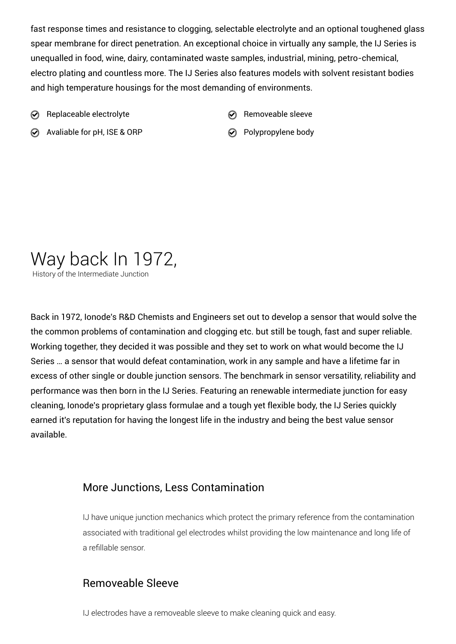fast response times and resistance to clogging, selectable electrolyte and an optional toughened glass spear membrane for direct penetration. An exceptional choice in virtually any sample, the IJ Series is unequalled in food, wine, dairy, contaminated waste samples, industrial, mining, petro-chemical, electro plating and countless more. The IJ Series also features models with solvent resistant bodies and high temperature housings for the most demanding of environments.

- $\odot$  Replaceable electrolyte  $\odot$  Removeable sleeve
	-
- $\odot$  Avaliable for pH, ISE & ORP  $\odot$  Polypropylene body
- 

## Way back In 1972,

History of the Intermediate Junction

Back in 1972, Ionode's R&D Chemists and Engineers set out to develop a sensor that would solve the the common problems of contamination and clogging etc. but still be tough, fast and super reliable. Working together, they decided it was possible and they set to work on what would become the IJ Series … a sensor that would defeat contamination, work in any sample and have a lifetime far in excess of other single or double junction sensors. The benchmark in sensor versatility, reliability and performance was then born in the IJ Series. Featuring an renewable intermediate junction for easy cleaning, Ionode's proprietary glass formulae and a tough yet flexible body, the IJ Series quickly earned it's reputation for having the longest life in the industry and being the best value sensor available.

### More Junctions, Less Contamination

IJ have unique junction mechanics which protect the primary reference from the contamination associated with traditional gel electrodes whilst providing the low maintenance and long life of a refillable sensor.

### Removeable Sleeve

IJ electrodes have a removeable sleeve to make cleaning quick and easy.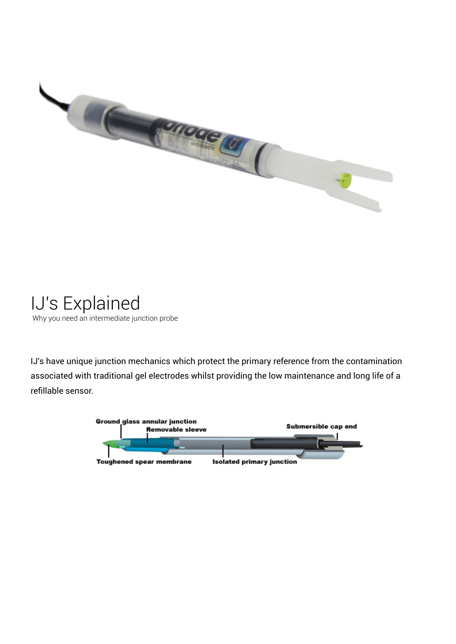

IJ's Explained Why you need an intermediate junction probe

IJ's have unique junction mechanics which protect the primary reference from the contamination associated with traditional gel electrodes whilst providing the low maintenance and long life of a refillable sensor.

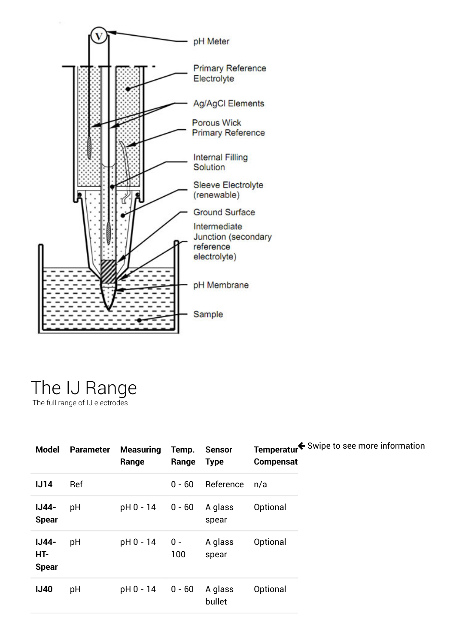

### The IJ Range The full range of IJ electrodes

| <b>Model</b>                        | <b>Parameter</b> | <b>Measuring</b><br>Range | Temp.<br>Range | <b>Sensor</b><br><b>Type</b> | Temperatur <sup>€</sup> Swipe to see more information<br><b>Compensat</b> |  |
|-------------------------------------|------------------|---------------------------|----------------|------------------------------|---------------------------------------------------------------------------|--|
| IJ14                                | Ref              |                           | $0 - 60$       | Reference                    | n/a                                                                       |  |
| <b>IJ44-</b><br><b>Spear</b>        | pH               | pH 0 - 14                 | $0 - 60$       | A glass<br>spear             | Optional                                                                  |  |
| <b>IJ44-</b><br>HT-<br><b>Spear</b> | pH               | pH 0 - 14                 | $0 -$<br>100   | A glass<br>spear             | Optional                                                                  |  |
| <b>IJ40</b>                         | pH               | pH 0 - 14                 | $0 - 60$       | A glass<br>bullet            | Optional                                                                  |  |